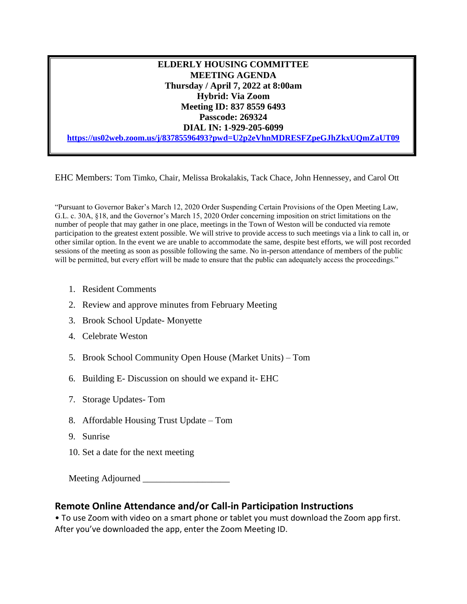**ELDERLY HOUSING COMMITTEE MEETING AGENDA Thursday / April 7, 2022 at 8:00am Hybrid: Via Zoom Meeting ID: 837 8559 6493 Passcode: 269324 DIAL IN: 1-929-205-6099 <https://us02web.zoom.us/j/83785596493?pwd=U2p2eVhnMDRESFZpeGJhZkxUQmZaUT09>**

EHC Members: Tom Timko, Chair, Melissa Brokalakis, Tack Chace, John Hennessey, and Carol Ott

"Pursuant to Governor Baker's March 12, 2020 Order Suspending Certain Provisions of the Open Meeting Law, G.L. c. 30A, §18, and the Governor's March 15, 2020 Order concerning imposition on strict limitations on the number of people that may gather in one place, meetings in the Town of Weston will be conducted via remote participation to the greatest extent possible. We will strive to provide access to such meetings via a link to call in, or other similar option. In the event we are unable to accommodate the same, despite best efforts, we will post recorded sessions of the meeting as soon as possible following the same. No in-person attendance of members of the public will be permitted, but every effort will be made to ensure that the public can adequately access the proceedings."

- 1. Resident Comments
- 2. Review and approve minutes from February Meeting
- 3. Brook School Update- Monyette
- 4. Celebrate Weston
- 5. Brook School Community Open House (Market Units) Tom
- 6. Building E- Discussion on should we expand it- EHC
- 7. Storage Updates- Tom
- 8. Affordable Housing Trust Update Tom
- 9. Sunrise
- 10. Set a date for the next meeting

Meeting Adjourned \_\_\_\_\_\_\_\_\_\_\_\_\_\_\_\_\_\_\_

## **Remote Online Attendance and/or Call-in Participation Instructions**

• To use Zoom with video on a smart phone or tablet you must download the Zoom app first. After you've downloaded the app, enter the Zoom Meeting ID.